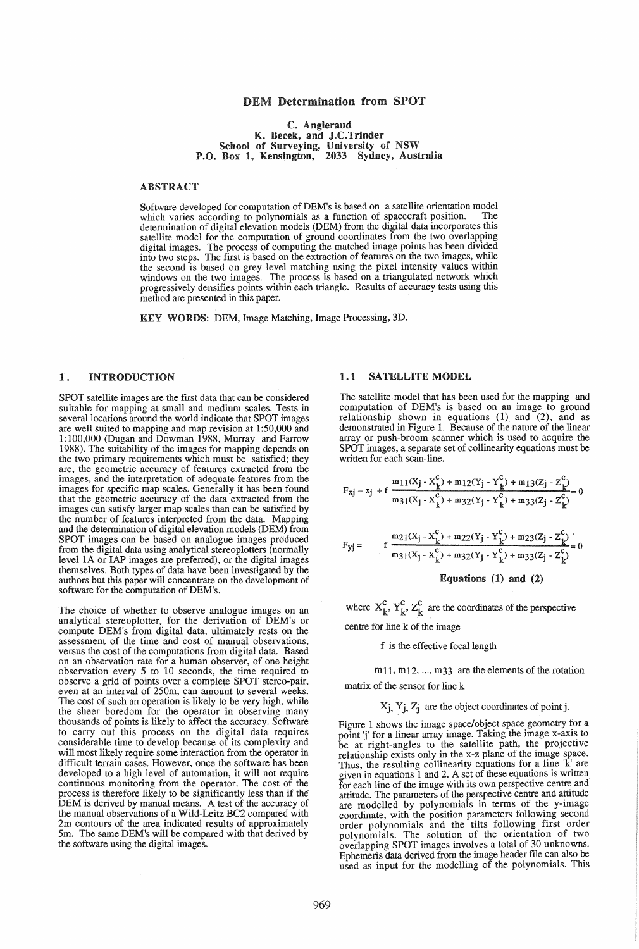### DEM Determination from SPOT

#### C. Angleraud K. Becek, and J.C.Trinder School of Surveying, University of NSW P.O. Box 1, Kensington, 2033 Sydney, Australia

#### ABSTRACT

Software developed for computation of DEM's is based on a satellite orientation model which varies according to polynomials as a function of spacecraft position. The determination of digital elevation models (DEM) from the digital data incorporates this satellite model for the computation of ground coordinates from the two overlapping digital images. The process of computing the matched image points has been divided into two steps. The fIrst is based on the extraction of features on the two images, while the second is based on grey level matching using the pixel intensity values within windows on the two images. The process is based on a triangulated network which progressively densifles points within each triangle. Results of accuracy tests using this method are presented in this paper.

KEY WORDS: DEM, Image Matching, Image Processing, 3D.

## 1. INTRODUCTION

SPOT satellite images are the fIrst data that can be considered suitable for mapping at small and medium scales. Tests in several locations around the world indicate that SPOT images are well suited to mapping and map revision at 1 :50,000 and 1:100,000 (Dugan and Dowman 1988, Murray and Farrow 1988). The suitability of the images for mapping depends on the two primary requirements which must be satisfied; they are, the geometric accuracy of features extracted from the images, and the interpretation of adequate features from the images for specific map scales. Generally it has been found that the geometric accuracy of the data extracted from the images can satisfy larger map scales than can be satisfied by the number of features interpreted from the data. Mapping and the determination of digital elevation models (DEM) from SPOT images can be based on analogue images produced from the digital data using analytical stereoplotters (normally level lA or lAP images are preferred), or the digital images themselves. Both types of data have been investigated by the authors but this paper will concentrate on the development of software for the computation of DEM's.

The choice of whether to observe analogue images on an analytical stereoplotter, for the derivation of DEM's or compute DEM's from digital data, ultimately rests on the assessment of the time and cost of manual observations, versus the cost of the computations from digital data. Based on an observation rate for a human observer, of one height observation every 5 to 10 seconds, the time required to observe a grid of points over a complete SPOT stereo-pair, even at an interval of 250m, can amount to several weeks. The cost of such an operation is likely to be very high, while the sheer boredom for the operator in observing many thousands of points is likely to affect the accuracy. Software to carry out this process on the digital data requires considerable time to develop because of its complexity and will most likely require some interaction from the operator in difficult terrain cases. However, once the software has been developed to a high level of automation, it will not require continuous monitoring from the operator. The cost of the process is therefore likely to be significantly less than if the DEM is derived by manual means. A test of the accuracy of the manual observations of a Wild-Leitz BC2 compared with 2m contours of the area indicated results of approximately 5m. The same DEM's will be compared with that derived by the software using the digital images.

### 1.1 SATELLITE MODEL

The satellite model that has been used for the mapping and computation of DEM's is based on an image to ground relationship shown in equations (1) and (2), and as demonstrated in Figure 1. Because of the nature of the linear array or push-broom scanner which is used to acquire the SPOT images, a separate set of collinearity equations must be written for each scan-line.

$$
F_{xj} = x_j + f \frac{m_{11}(X_j - X_k^c) + m_{12}(Y_j - Y_k^c) + m_{13}(Z_j - Z_k^c)}{m_{31}(X_j - X_k^c) + m_{32}(Y_j - Y_k^c) + m_{33}(Z_j - Z_k^c)} = 0
$$
  

$$
F_{yj} = f \frac{m_{21}(X_j - X_k^c) + m_{22}(Y_j - Y_k^c) + m_{23}(Z_j - Z_k^c)}{m_{31}(X_j - X_k^c) + m_{32}(Y_j - Y_k^c) + m_{33}(Z_j - Z_k^c)} = 0
$$
  
Equations (1) and (2)

where  $X_{k}^{c}$ ,  $Y_{k}^{c}$ ,  $Z_{k}^{c}$  are the coordinates of the perspective

centre for line k of the image

f is the effective focal length

 $m<sub>11</sub>, m<sub>12</sub>, ..., m<sub>33</sub>$  are the elements of the rotation matrix of the sensor for line k

# $X_j$ ,  $Y_j$ ,  $Z_j$  are the object coordinates of point j.

Figure 1 shows the image space/object space geometry for a point 'j' for a linear array image. Taking the image x-axis to be at right-angles to the satellite path, the projective relationship exists only in the x-z plane of the image space. Thus, the resulting collinearity equations for a line 'k' are given in equations 1 and 2. A set of these equations is written for each line of the image with its own perspective centre and attitude. The parameters of the perspective centre and attitude are modelled by polynomials in terms of the y-image coordinate, with the position parameters following second order polynomials and the tilts following first order polynomials. The solution of the orientation of two overlapping SPOT images involves a total of 30 unknowns. Ephemeris data derived from the image header file can also be used as input for the modelling of the polynomials. This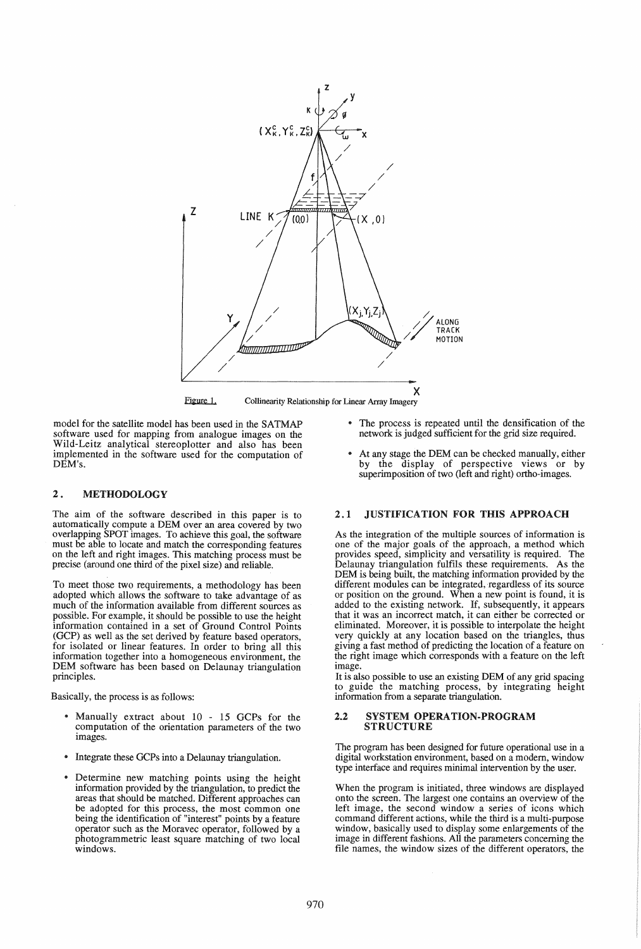

Figure 1. Collinearity Relationship for Linear Array Imagery

model for the satellite model has been used in the SATMAP software used for mapping from analogue images on the Wild-Leitz analytical stereoplotter and also has been implemented in the software used for the computation of DEM's.

# 2. METHODOLOGY

The aim of the software described in this paper is to automatically compute a DEM over an area covered by two overlapping SPOT images. To achieve this goal, the software must be able to locate and match the corresponding features on the left and right images. This matching process must be precise (around one third of the pixel size) and reliable.

To meet those two requirements, a methodology has been adopted which allows the software to take advantage of as much of the information available from different sources as possible. For example, it should be possible to use the height information contained in a set of Ground Control Points (GCP) as well as the set derived by feature based operators, for isolated or linear features. In order to bring all this information together into a homogeneous environment, the DEM software has been based on Delaunay triangulation principles.

Basically, the process is as follows:

- Manually extract about 10 15 GCPs for the computation of the orientation parameters of the two images.
- Integrate these GCPs into a Delaunay triangulation.
- Determine new matching points using the height information provided by the triangulation, to predict the areas that should be matched. Different approaches can be adopted for this process, the most common one being the identification of "interest" points by a feature operator such as the Moravec operator, followed by a photogrammetric least square matching of two local windows.
- .. The process is repeated until the densification of the network is judged sufficient for the grid size required.
- At any stage the DEM can be checked manually, either by the display of perspective views or by superimposition of two (left and right) ortho-images.

# 2.1 JUSTIFICATION FOR THIS APPROACH

As the integration of the multiple sources of information is one of the major goals of the approach, a method which provides speed, simplicity and versatility is required. The Delaunay triangulation fulfils these requirements. As the DEM is being built, the matching information provided by the different modules can be integrated, regardless of its source different modules can be integrated, regardless of its source or position on the ground. When a new point is found, it is added to the existing network. If, subsequently, it appears that it was an incorrect match, it can either be corrected or eliminated. Moreover, it is possible to interpolate the height very quickly at any location based on the triangles, thus giving a fast method of predicting the location of a feature on the right image which corresponds with a feature on the left image.

It is also possible to use an existing DEM of any grid spacing to guide the matching process, by integrating height information from a separate triangulation.

#### 2.2 SYSTEM OPERA TION·PROGRAM STRUCTURE

The program has been designed for future operational use in a digital workstation environment, based on a modem, window type interface and requires minimal intervention by the user.

When the program is initiated, three windows are displayed onto the screen. The largest one contains an overview of the left image, the second window a series of icons which command different actions, while the third is a multi-purpose window, basically used to display some enlargements of the image in different fashions. All the parameters concerning the file names, the window sizes of the different operators, the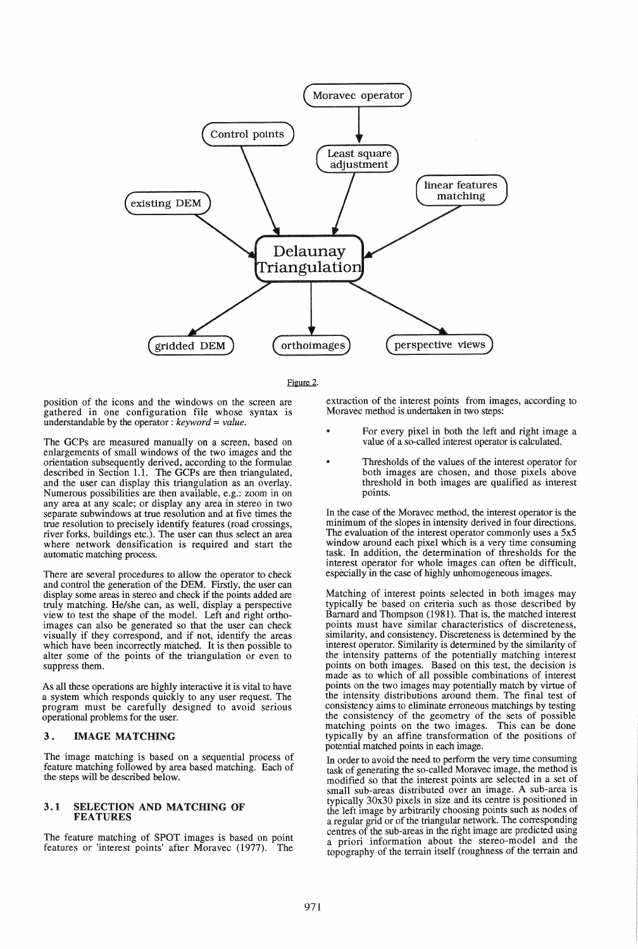



position of the icons and the windows on the screen are gathered in one configuration file whose syntax is understandable by the operator: *keyword* = *value.* 

The GCPs are measured manually on a screen, based on enlargements of small windows of the two images and the orientation subsequently derived, according to the formulae described in Section 1.1. The GCPs are then triangulated, and the user can display this triangulation as an overlay.<br>Numerous possibilities are then available, e.g.: zoom in on any area at any scale; or display any area in stereo in two separate subwindows at true resolution and at five times the true resolution to precisely identify features (road crossings, river forks, buildings etc.). The user can thus select an area where network densification is required and start the automatic matching process.

There are several procedures to allow the operator to check and control the generation of the DEM. Firstly, the user can display some areas in stereo and check if the points added are truly matching. He/she can, as well, display a perspective view to test the shape of the model. Left and right orthoimages can also be generated so that the user can check visually if they correspond, and if not, identify the areas visually if they correspond, and if not, identify the areas which have been incorrectly matched. It is then possible to alter some of the points of the triangulation or even to suppress them.

As all these operations are highly interactive it is vital to have a system which responds quickly to any user request. The program must be carefully designed to avoid serious operational problems for the user.

# 3. IMAGE MATCHING

The image matching is based on a sequential process of feature matching followed by area based matching. Each of the steps will be described below.

#### 3.1 SELECTION AND MATCHING OF FEATURES

The feature matching of SPOT images is based on point features or 'interest points' after Moravec (1977). The features or 'interest points' after Moravec (1977).

extraction of the interest points from images, according to Moravec method is undertaken in two steps:

- For every pixel in both the left and right image a value of a so-called interest operator is calculated.
- Thresholds of the values of the interest operator for both images are chosen, and those pixels above threshold in both images are qualified as interest points.

In the case of the Moravec method, the interest operator is the minimum of the slopes in intensity derived in four directions. The evaluation of the interest operator commonly uses a  $5x5$ window around each pixel which is a very time consuming task. In addition, the determination of thresholds for the interest operator for whole images can often be difficult, especially in the case of highly unhomogeneous images.

Matching of interest points selected in both images may typically be based on criteria such as those described by Barnard and Thompson (1981). That is, the matched interest points must have similar characteristics of discreteness, similarity, and consistency. Discreteness is determined by the interest operator. Similarity is determined by the similarity of the intensity patterns of the potentially matching interest points on both images. Based on this test, the decision is made as to which of all possible combinations of interest points on the two images may potentially match by virtue of the intensity distributions around them. The final test of consistency aims to eliminate erroneous matchings by testing the consistency of the geometry of the sets of possible matching points on the two images. This can be done typically by an affine transformation of the positions of potential matched points in each image.

In order to avoid the need to perform the very time consuming task of generating the so-called Moravec image, the method is modified so that the interest points are selected in a set of small sub-areas distributed over an image. A sub-area is typically 30x30 pixels in size and its centre is positioned in the left image by arbitrarily choosing points such as nodes of a regular grid or of the triangular network. The corresponding centres of the sub-areas in the right image are predicted using a priori information about the stereo-model and the topography of the terrain itself (roughness of the terrain and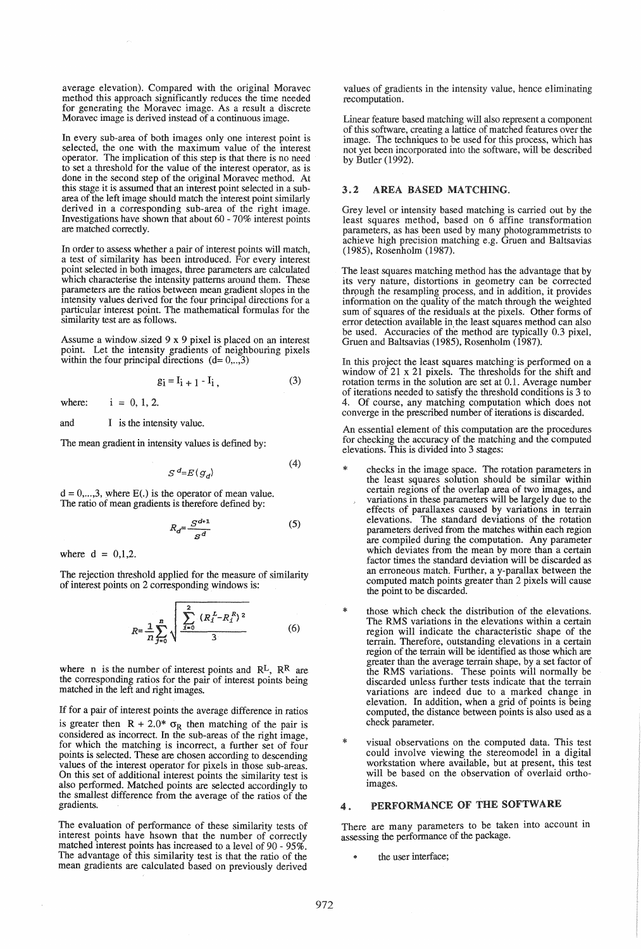average elevation). Compared with the original Moravec method this approach significantly reduces the time needed for generating the Moravec image. As a result a discrete Moravec image is derived instead of a continuous image.

In every sub-area of both images only one interest point is selected, the one with the maximum value of the interest operator. The implication of this step is that there is no need to set a threshold for the value of the interest operator, as is done in the second step of the original Moravec method. At this stage it is assumed that an interest point selected in a subarea of the left image should match the interest point similarly derived in a corresponding sub-area of the right image. Investigations have shown that about 60 - 70% interest points are matched correctly.

In order to assess whether a pair of interest points will match, a test of similarity has been introduced. For every interest point selected in both images, three parameters are calculated which characterise the intensity patterns around them. These parameters are the ratios between mean gradient slopes in the intensity values derived for the four principal directions for a particular interest point. The mathematical formulas for the similarity test are as follows.

Assume a window sized  $9 \times 9$  pixel is placed on an interest point. Let the intensity gradients of neighbouring pixels within the four principal directions  $(d= 0, \ldots, 3)$ 

$$
g_i = I_{i+1} - I_i, \tag{3}
$$

where:  $i = 0, 1, 2$ .

and I is the intensity value.

The mean gradient in intensity values is defined by:

$$
S^d = E(g_d) \tag{4}
$$

 $d = 0, \ldots, 3$ , where  $E(.)$  is the operator of mean value. The ratio of mean gradients is therefore defmed by:

$$
R_d = \frac{S^{d+1}}{S^d} \tag{5}
$$

where  $d = 0,1,2$ .

The rejection threshold applied for the measure of similarity of interest points on 2 corresponding windows is:

$$
R = \frac{1}{n} \sum_{j=0}^{n} \sqrt{\frac{\sum_{i=0}^{2} (R_i^L - R_i^R)^2}{3}}
$$
 (6)

where n is the number of interest points and  $\mathbb{R}^{\mathbb{L}}$ ,  $\mathbb{R}^{\mathbb{R}}$  are the corresponding ratios for the pair of interest points being matched in the left and right images.

If for a pair of interest points the average difference in ratios is greater then  $R + 2.0^*$   $\sigma_R$  then matching of the pair is considered as incorrect. In the sub-areas of the right image, for which the matching is incorrect, a further set of four points is selected. These are chosen according to descending values of the interest operator for pixels in those sub-areas. On this set of additional interest points the similarity test is also performed. Matched points are selected accordingly to the smallest difference from the average of the ratios of the gradients.

The evaluation of performance of these similarity tests of interest points have hsown that the number of correctly matched interest points has increased to a level of 90 - 95%. The advantage of this similarity test is that the ratio of the mean gradients are calculated based on previously derived

values of gradients in the intensity value, hence eliminating recomputation.

Linear feature based matching will also represent a component of this software, creating a lattice of matched features over the image. The techniques to be used for this process, which has not yet been incorporated into the software, will be described by Butler (1992).

### 3.2 AREA BASED MATCHING.

Grey level or intensity based matching is carried out by the least squares method, based on 6 affine transformation parameters, as has been used by many photogrammetrists to achieve high precision matching e.g. Gruen and Baltsavias (1985), Rosenholm (1987).

The least squares matching method has the advantage that by its very nature, distortions in geometry can be corrected through the resampling process, and in addition, it provides information on the quality of the match through the weighted sum of squares of the residuals at the pixels. Other forms of error detection available in the least squares method can also be used. Accuracies of the method are typically 0.3 pixel, Gruen and Baltsavias (1985), Rosenholm (1987).

In this project the least squares matching is performed on a window of 21 x 21 pixels. The thresholds for the shift and rotation terms in the solution are set at 0.1. Average number of iterations needed to satisfy the threshold conditions is 3 to 4. Of course, any matching computation which does not converge in the prescribed number of iterations is discarded.

An essential element of this computation are the procedures for checking the accuracy of the matching and the computed elevations. This is divided into 3 stages:

- checks in the image space. The rotation parameters in the least squares solution should be similar within certain regions of the overlap area of two images, and variations in these parameters will be largely due to the effects of parallaxes caused by variations in terrain elevations. The standard deviations of the rotation parameters derived from the matches within each region are compiled during the computation. Any parameter which deviates from the mean by more than a certain factor times the standard deviation will be discarded as an erroneous match. Further, a y-parallax between the computed match points greater than 2 pixels will cause the point to be discarded.
- those which check the distribution of the elevations. The RMS variations in the elevations within a certain region will indicate the characteristic shape of the terrain. Therefore, outstanding elevations in a certain region of the terrain will be identified as those which are greater than the average terrain shape, by a set factor of the RMS variations. These points will normally be discarded unless further tests indicate that the terrain variations are indeed due to a marked change in elevation. In addition, when a grid of points is being computed, the distance between points is also used as a check parameter.
- visual observations on the computed data. This test could involve viewing the stereomodel in a digital workstation where available, but at present, this test will be based on the observation of overlaid orthoimages.

# 4. PERFORMANCE OF THE SOFTWARE

There are many parameters to be taken into account in assessing the performance of the package.

the user interface;